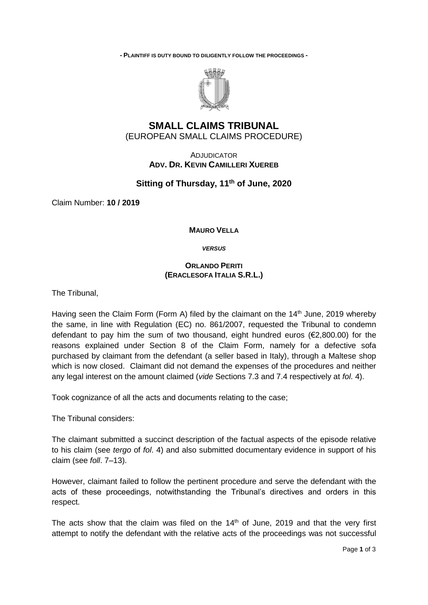**- PLAINTIFF IS DUTY BOUND TO DILIGENTLY FOLLOW THE PROCEEDINGS -**



## **SMALL CLAIMS TRIBUNAL** (EUROPEAN SMALL CLAIMS PROCEDURE)

ADJUDICATOR **ADV. DR. KEVIN CAMILLERI XUEREB**

## **Sitting of Thursday, 11th of June, 2020**

Claim Number: **10 / 2019**

## **MAURO VELLA**

*VERSUS*

## **ORLANDO PERITI (ERACLESOFA ITALIA S.R.L.)**

The Tribunal,

Having seen the Claim Form (Form A) filed by the claimant on the  $14<sup>th</sup>$  June, 2019 whereby the same, in line with Regulation (EC) no. 861/2007, requested the Tribunal to condemn defendant to pay him the sum of two thousand, eight hundred euros (€2,800.00) for the reasons explained under Section 8 of the Claim Form, namely for a defective sofa purchased by claimant from the defendant (a seller based in Italy), through a Maltese shop which is now closed. Claimant did not demand the expenses of the procedures and neither any legal interest on the amount claimed (*vide* Sections 7.3 and 7.4 respectively at *fol*. 4).

Took cognizance of all the acts and documents relating to the case;

The Tribunal considers:

The claimant submitted a succinct description of the factual aspects of the episode relative to his claim (see *tergo* of *fol*. 4) and also submitted documentary evidence in support of his claim (see *foll*. 7–13).

However, claimant failed to follow the pertinent procedure and serve the defendant with the acts of these proceedings, notwithstanding the Tribunal's directives and orders in this respect.

The acts show that the claim was filed on the  $14<sup>th</sup>$  of June, 2019 and that the very first attempt to notify the defendant with the relative acts of the proceedings was not successful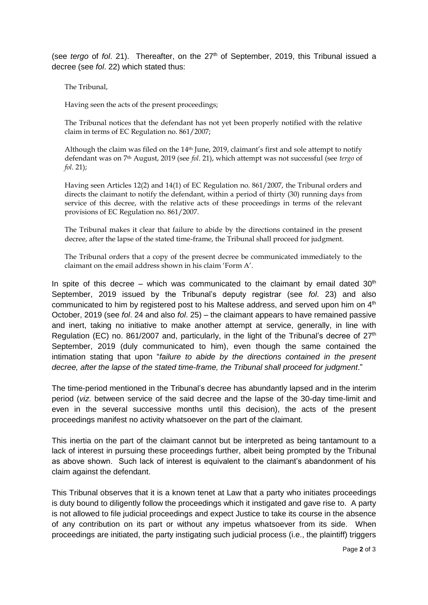(see *tergo* of *fol.* 21). Thereafter, on the 27<sup>th</sup> of September, 2019, this Tribunal issued a decree (see *fol*. 22) which stated thus:

The Tribunal,

Having seen the acts of the present proceedings;

The Tribunal notices that the defendant has not yet been properly notified with the relative claim in terms of EC Regulation no. 861/2007;

Although the claim was filed on the  $14<sup>th</sup>$  June, 2019, claimant's first and sole attempt to notify defendant was on 7th August, 2019 (see *fol*. 21), which attempt was not successful (see *tergo* of *fol*. 21);

Having seen Articles 12(2) and 14(1) of EC Regulation no. 861/2007, the Tribunal orders and directs the claimant to notify the defendant, within a period of thirty (30) running days from service of this decree, with the relative acts of these proceedings in terms of the relevant provisions of EC Regulation no. 861/2007.

The Tribunal makes it clear that failure to abide by the directions contained in the present decree, after the lapse of the stated time-frame, the Tribunal shall proceed for judgment.

The Tribunal orders that a copy of the present decree be communicated immediately to the claimant on the email address shown in his claim 'Form A'.

In spite of this decree – which was communicated to the claimant by email dated  $30<sup>th</sup>$ September, 2019 issued by the Tribunal's deputy registrar (see *fol*. 23) and also communicated to him by registered post to his Maltese address, and served upon him on 4<sup>th</sup> October, 2019 (see *fol*. 24 and also *fol*. 25) – the claimant appears to have remained passive and inert, taking no initiative to make another attempt at service, generally, in line with Regulation (EC) no. 861/2007 and, particularly, in the light of the Tribunal's decree of  $27<sup>th</sup>$ September, 2019 (duly communicated to him), even though the same contained the intimation stating that upon "*failure to abide by the directions contained in the present decree, after the lapse of the stated time-frame, the Tribunal shall proceed for judgment*."

The time-period mentioned in the Tribunal's decree has abundantly lapsed and in the interim period (*viz*. between service of the said decree and the lapse of the 30-day time-limit and even in the several successive months until this decision), the acts of the present proceedings manifest no activity whatsoever on the part of the claimant.

This inertia on the part of the claimant cannot but be interpreted as being tantamount to a lack of interest in pursuing these proceedings further, albeit being prompted by the Tribunal as above shown. Such lack of interest is equivalent to the claimant's abandonment of his claim against the defendant.

This Tribunal observes that it is a known tenet at Law that a party who initiates proceedings is duty bound to diligently follow the proceedings which it instigated and gave rise to. A party is not allowed to file judicial proceedings and expect Justice to take its course in the absence of any contribution on its part or without any impetus whatsoever from its side. When proceedings are initiated, the party instigating such judicial process (i.e., the plaintiff) triggers